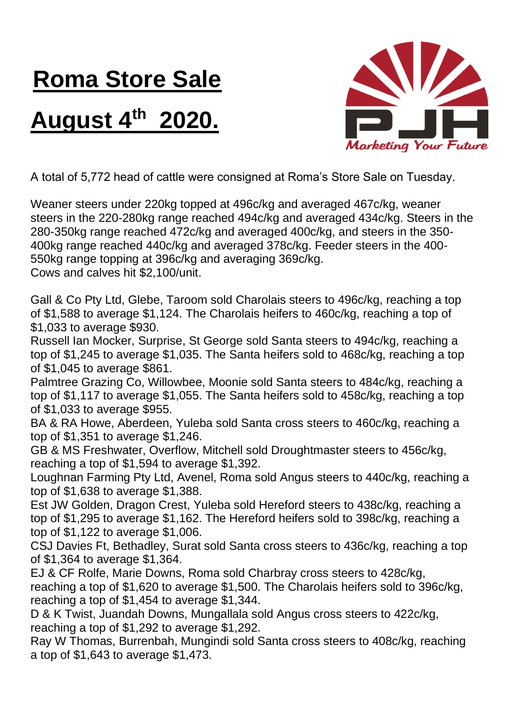## **Roma Store Sale**

## **August 4th 2020.**



A total of 5,772 head of cattle were consigned at Roma's Store Sale on Tuesday.

Weaner steers under 220kg topped at 496c/kg and averaged 467c/kg, weaner steers in the 220-280kg range reached 494c/kg and averaged 434c/kg. Steers in the 280-350kg range reached 472c/kg and averaged 400c/kg, and steers in the 350- 400kg range reached 440c/kg and averaged 378c/kg. Feeder steers in the 400- 550kg range topping at 396c/kg and averaging 369c/kg. Cows and calves hit \$2,100/unit.

Gall & Co Pty Ltd, Glebe, Taroom sold Charolais steers to 496c/kg, reaching a top of \$1,588 to average \$1,124. The Charolais heifers to 460c/kg, reaching a top of \$1,033 to average \$930.

Russell Ian Mocker, Surprise, St George sold Santa steers to 494c/kg, reaching a top of \$1,245 to average \$1,035. The Santa heifers sold to 468c/kg, reaching a top of \$1,045 to average \$861.

Palmtree Grazing Co, Willowbee, Moonie sold Santa steers to 484c/kg, reaching a top of \$1,117 to average \$1,055. The Santa heifers sold to 458c/kg, reaching a top of \$1,033 to average \$955.

BA & RA Howe, Aberdeen, Yuleba sold Santa cross steers to 460c/kg, reaching a top of \$1,351 to average \$1,246.

GB & MS Freshwater, Overflow, Mitchell sold Droughtmaster steers to 456c/kg, reaching a top of \$1,594 to average \$1,392.

Loughnan Farming Pty Ltd, Avenel, Roma sold Angus steers to 440c/kg, reaching a top of \$1,638 to average \$1,388.

Est JW Golden, Dragon Crest, Yuleba sold Hereford steers to 438c/kg, reaching a top of \$1,295 to average \$1,162. The Hereford heifers sold to 398c/kg, reaching a top of \$1,122 to average \$1,006.

CSJ Davies Ft, Bethadley, Surat sold Santa cross steers to 436c/kg, reaching a top of \$1,364 to average \$1,364.

EJ & CF Rolfe, Marie Downs, Roma sold Charbray cross steers to 428c/kg, reaching a top of \$1,620 to average \$1,500. The Charolais heifers sold to 396c/kg, reaching a top of \$1,454 to average \$1,344.

D & K Twist, Juandah Downs, Mungallala sold Angus cross steers to 422c/kg, reaching a top of \$1,292 to average \$1,292.

Ray W Thomas, Burrenbah, Mungindi sold Santa cross steers to 408c/kg, reaching a top of \$1,643 to average \$1,473.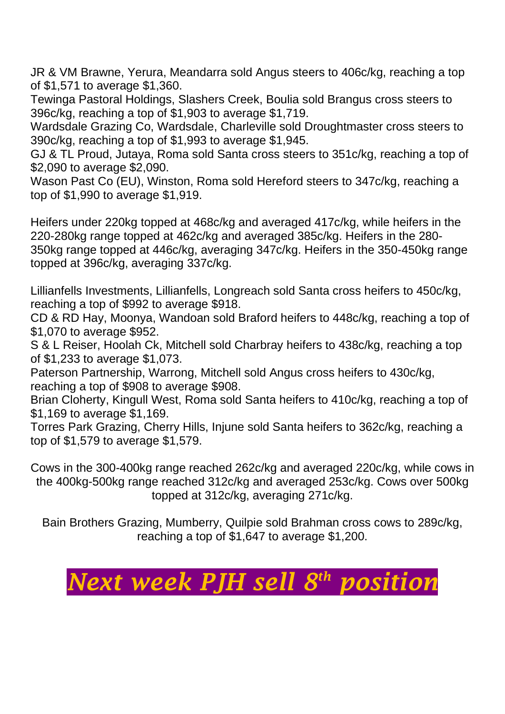JR & VM Brawne, Yerura, Meandarra sold Angus steers to 406c/kg, reaching a top of \$1,571 to average \$1,360.

Tewinga Pastoral Holdings, Slashers Creek, Boulia sold Brangus cross steers to 396c/kg, reaching a top of \$1,903 to average \$1,719.

Wardsdale Grazing Co, Wardsdale, Charleville sold Droughtmaster cross steers to 390c/kg, reaching a top of \$1,993 to average \$1,945.

GJ & TL Proud, Jutaya, Roma sold Santa cross steers to 351c/kg, reaching a top of \$2,090 to average \$2,090.

Wason Past Co (EU), Winston, Roma sold Hereford steers to 347c/kg, reaching a top of \$1,990 to average \$1,919.

Heifers under 220kg topped at 468c/kg and averaged 417c/kg, while heifers in the 220-280kg range topped at 462c/kg and averaged 385c/kg. Heifers in the 280- 350kg range topped at 446c/kg, averaging 347c/kg. Heifers in the 350-450kg range topped at 396c/kg, averaging 337c/kg.

Lillianfells Investments, Lillianfells, Longreach sold Santa cross heifers to 450c/kg, reaching a top of \$992 to average \$918.

CD & RD Hay, Moonya, Wandoan sold Braford heifers to 448c/kg, reaching a top of \$1,070 to average \$952.

S & L Reiser, Hoolah Ck, Mitchell sold Charbray heifers to 438c/kg, reaching a top of \$1,233 to average \$1,073.

Paterson Partnership, Warrong, Mitchell sold Angus cross heifers to 430c/kg, reaching a top of \$908 to average \$908.

Brian Cloherty, Kingull West, Roma sold Santa heifers to 410c/kg, reaching a top of \$1,169 to average \$1,169.

Torres Park Grazing, Cherry Hills, Injune sold Santa heifers to 362c/kg, reaching a top of \$1,579 to average \$1,579.

Cows in the 300-400kg range reached 262c/kg and averaged 220c/kg, while cows in the 400kg-500kg range reached 312c/kg and averaged 253c/kg. Cows over 500kg topped at 312c/kg, averaging 271c/kg.

Bain Brothers Grazing, Mumberry, Quilpie sold Brahman cross cows to 289c/kg, reaching a top of \$1,647 to average \$1,200.

## *Next week PJH sell 8 th position*